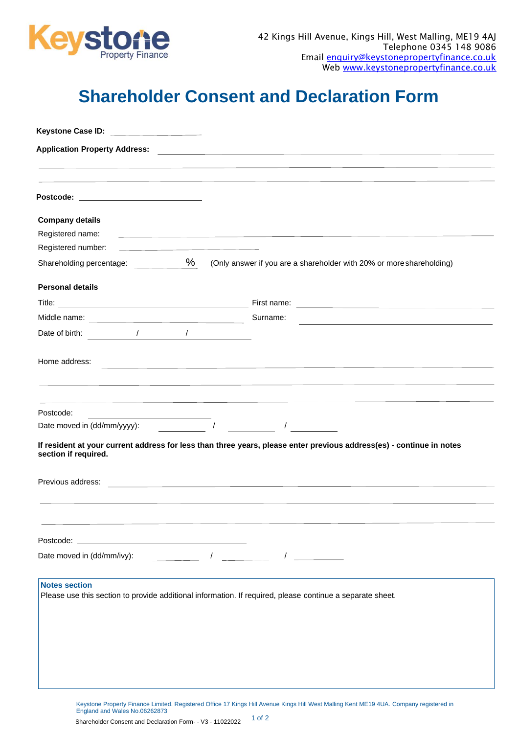

## **Shareholder Consent and Declaration Form**

| Postcode: ________________________________                                                                                                                                                     |                                                                            |                                                                                                                       |
|------------------------------------------------------------------------------------------------------------------------------------------------------------------------------------------------|----------------------------------------------------------------------------|-----------------------------------------------------------------------------------------------------------------------|
| <b>Company details</b>                                                                                                                                                                         |                                                                            |                                                                                                                       |
| Registered name:                                                                                                                                                                               |                                                                            | <u> 1980 - Andrea Station Barbara, actor a component de la componentación de la componentación de la componentaci</u> |
| Registered number:                                                                                                                                                                             | the control of the control of the control of the control of the control of |                                                                                                                       |
|                                                                                                                                                                                                |                                                                            | Shareholding percentage: $\underbrace{\%}$ (Only answer if you are a shareholder with 20% or more shareholding)       |
| <b>Personal details</b>                                                                                                                                                                        |                                                                            |                                                                                                                       |
|                                                                                                                                                                                                |                                                                            |                                                                                                                       |
|                                                                                                                                                                                                |                                                                            | Surname:                                                                                                              |
|                                                                                                                                                                                                |                                                                            |                                                                                                                       |
| Home address:                                                                                                                                                                                  |                                                                            | the contract of the contract of the contract of the contract of the contract of the contract of the contract of       |
| Postcode:<br>the contract of the contract of the contract of the contract of the contract of the contract of the contract of<br>Date moved in (dd/mm/yyyy): $\sqrt{2}$<br>section if required. |                                                                            | If resident at your current address for less than three years, please enter previous address(es) - continue in notes  |
| Previous address:                                                                                                                                                                              |                                                                            | <u> 1980 - Andrea Andrew Maria (h. 1980).</u><br>1900 - Andrew Maria (h. 1900).                                       |
|                                                                                                                                                                                                |                                                                            |                                                                                                                       |
|                                                                                                                                                                                                |                                                                            |                                                                                                                       |
| Date moved in (dd/mm/ivy):                                                                                                                                                                     |                                                                            | $\frac{1}{\sqrt{1-\frac{1}{2}}}\left( \frac{1}{\sqrt{1-\frac{1}{2}}}\right)$                                          |